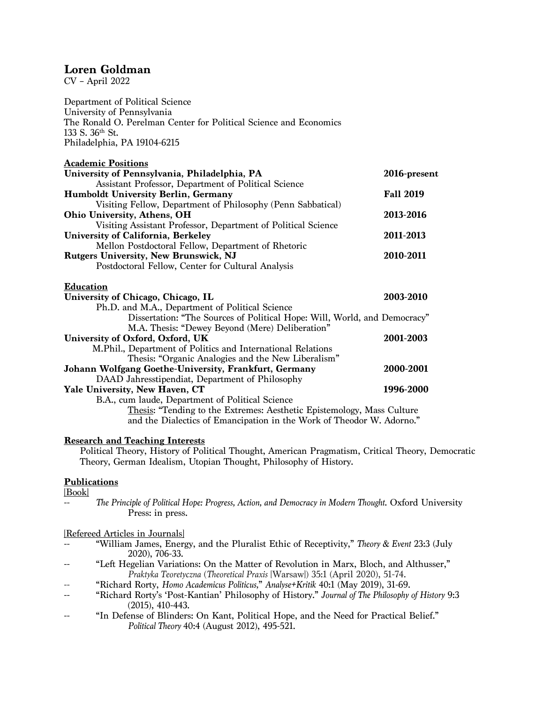# **Loren Goldman**

CV – April 2022

Department of Political Science University of Pennsylvania The Ronald O. Perelman Center for Political Science and Economics 133 S. 36th St. Philadelphia, PA 19104-6215

| <b>Academic Positions</b>                                                 |                  |
|---------------------------------------------------------------------------|------------------|
| University of Pennsylvania, Philadelphia, PA                              | 2016-present     |
| Assistant Professor, Department of Political Science                      |                  |
| <b>Humboldt University Berlin, Germany</b>                                | <b>Fall 2019</b> |
| Visiting Fellow, Department of Philosophy (Penn Sabbatical)               |                  |
| Ohio University, Athens, OH                                               | 2013-2016        |
| Visiting Assistant Professor, Department of Political Science             |                  |
| University of California, Berkeley                                        | 2011-2013        |
| Mellon Postdoctoral Fellow, Department of Rhetoric                        |                  |
| <b>Rutgers University, New Brunswick, NJ</b>                              | 2010-2011        |
| Postdoctoral Fellow, Center for Cultural Analysis                         |                  |
| <b>Education</b>                                                          |                  |
| University of Chicago, Chicago, IL                                        | 2003-2010        |
| Ph.D. and M.A., Department of Political Science                           |                  |
| Dissertation: "The Sources of Political Hope: Will, World, and Democracy" |                  |
| M.A. Thesis: "Dewey Beyond (Mere) Deliberation"                           |                  |
| University of Oxford, Oxford, UK                                          | 2001-2003        |
| M.Phil., Department of Politics and International Relations               |                  |
| Thesis: "Organic Analogies and the New Liberalism"                        |                  |
| Johann Wolfgang Goethe-University, Frankfurt, Germany                     | 2000-2001        |
| DAAD Jahresstipendiat, Department of Philosophy                           |                  |
| Yale University, New Haven, CT                                            | 1996-2000        |
| B.A., cum laude, Department of Political Science                          |                  |
| Thesis: "Tending to the Extremes: Aesthetic Epistemology, Mass Culture    |                  |
| and the Dialectics of Emancipation in the Work of Theodor W. Adorno."     |                  |

# **Research and Teaching Interests**

Political Theory, History of Political Thought, American Pragmatism, Critical Theory, Democratic Theory, German Idealism, Utopian Thought, Philosophy of History.

# **Publications**

[Book]

-- *The Principle of Political Hope: Progress, Action, and Democracy in Modern Thought*. Oxford University Press: in press.

[Refereed Articles in Journals]

- "William James, Energy, and the Pluralist Ethic of Receptivity," *Theory & Event* 23:3 (July 2020), 706-33.
- -- "Left Hegelian Variations: On the Matter of Revolution in Marx, Bloch, and Althusser," *Praktyka Teoretyczna* (*Theoretical Praxis* [Warsaw]) 35:1 (April 2020), 51-74.
- -- "Richard Rorty, *Homo Academicus Politicus,*" *Analyse+Kritik* 40:1 (May 2019), 31-69.
- -- "Richard Rorty's 'Post-Kantian' Philosophy of History." *Journal of The Philosophy of History* 9:3 (2015), 410-443.
- -- "In Defense of Blinders: On Kant, Political Hope, and the Need for Practical Belief." *Political Theory* 40:4 (August 2012), 495-521.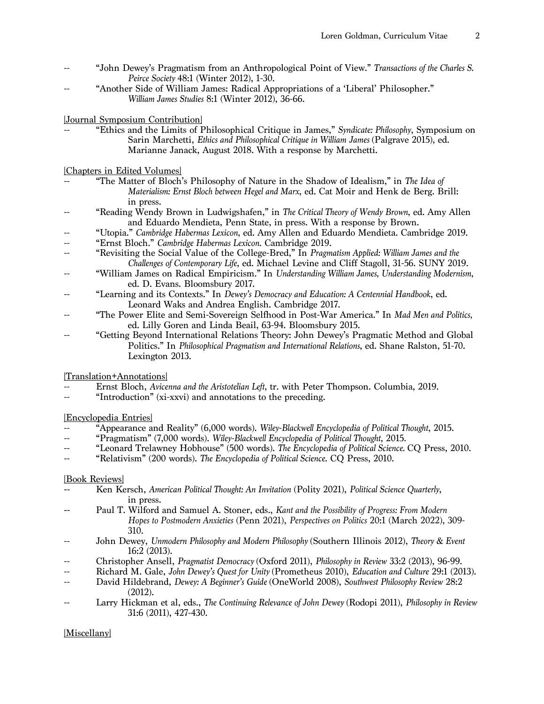- "John Dewey's Pragmatism from an Anthropological Point of View." *Transactions of the Charles S. Peirce Society* 48:1 (Winter 2012), 1-30.
- "Another Side of William James: Radical Appropriations of a 'Liberal' Philosopher." *William James Studies* 8:1 (Winter 2012), 36-66.

[Journal Symposium Contribution]

"Ethics and the Limits of Philosophical Critique in James," *Syndicate: Philosophy*, *Symposium* on Sarin Marchetti, *Ethics and Philosophical Critique in William James* (Palgrave 2015), ed. Marianne Janack, August 2018. With a response by Marchetti.

[Chapters in Edited Volumes]

- "The Matter of Bloch's Philosophy of Nature in the Shadow of Idealism," in *The Idea of Materialism: Ernst Bloch between Hegel and Marx*, ed. Cat Moir and Henk de Berg. Brill: in press.
- "Reading Wendy Brown in Ludwigshafen," in *The Critical Theory of Wendy Brown*, ed. Amy Allen and Eduardo Mendieta, Penn State, in press. With a response by Brown.
- -- "Utopia." *Cambridge Habermas Lexicon*, ed. Amy Allen and Eduardo Mendieta. Cambridge 2019.
- "Ernst Bloch." *Cambridge Habermas Lexicon*. Cambridge 2019.
- "Revisiting the Social Value of the College-Bred," In *Pragmatism Applied: William James and the Challenges of Contemporary Life*, ed. Michael Levine and Cliff Stagoll, 31-56. SUNY 2019.
- "William James on Radical Empiricism." In *Understanding William James*, *Understanding Modernism*, ed. D. Evans. Bloomsbury 2017.
- "Learning and its Contexts." In *Dewey's Democracy and Education: A Centennial Handbook*, ed. Leonard Waks and Andrea English. Cambridge 2017.
- -- "The Power Elite and Semi-Sovereign Selfhood in Post-War America." In *Mad Men and Politics,* ed. Lilly Goren and Linda Beail, 63-94. Bloomsbury 2015.
- "Getting Beyond International Relations Theory: John Dewey's Pragmatic Method and Global Politics." In *Philosophical Pragmatism and International Relations*, ed. Shane Ralston, 51-70. Lexington 2013.

[Translation+Annotations]

- -- Ernst Bloch, *Avicenna and the Aristotelian Left*, tr. with Peter Thompson. Columbia, 2019.
- "Introduction" (xi-xxvi) and annotations to the preceding.

[Encyclopedia Entries]

- -- "Appearance and Reality" (6,000 words). *Wiley-Blackwell Encyclopedia of Political Thought*, 2015.
- -- "Pragmatism" (7,000 words). *Wiley-Blackwell Encyclopedia of Political Thought*, 2015*.*
- -- "Leonard Trelawney Hobhouse" (500 words). *The Encyclopedia of Political Science.* CQ Press, 2010.
- "Relativism" (200 words). *The Encyclopedia of Political Science*. CQ Press, 2010.

# [Book Reviews]

- **--** Ken Kersch, *American Political Thought: An Invitation* (Polity 2021), *Political Science Quarterly*, in press.
- **--** Paul T. Wilford and Samuel A. Stoner, eds., *Kant and the Possibility of Progress: From Modern Hopes to Postmodern Anxieties* (Penn 2021), *Perspectives on Politics* 20:1 (March 2022), 309- 310.
- -- John Dewey, *Unmodern Philosophy and Modern Philosophy* (Southern Illinois 2012), *Theory & Event* 16:2 (2013).
- -- Christopher Ansell, *Pragmatist Democracy* (Oxford 2011), *Philosophy in Review* 33:2 (2013), 96-99.
- -- Richard M. Gale, *John Dewey's Quest for Unity* (Prometheus 2010), *Education and Culture* 29:1 (2013).
- -- David Hildebrand, *Dewey: A Beginner's Guide* (OneWorld 2008), *Southwest Philosophy Review* 28:2 (2012).
- -- Larry Hickman et al, eds., *The Continuing Relevance of John Dewey* (Rodopi 2011), *Philosophy in Review* 31:6 (2011), 427-430.

[Miscellany]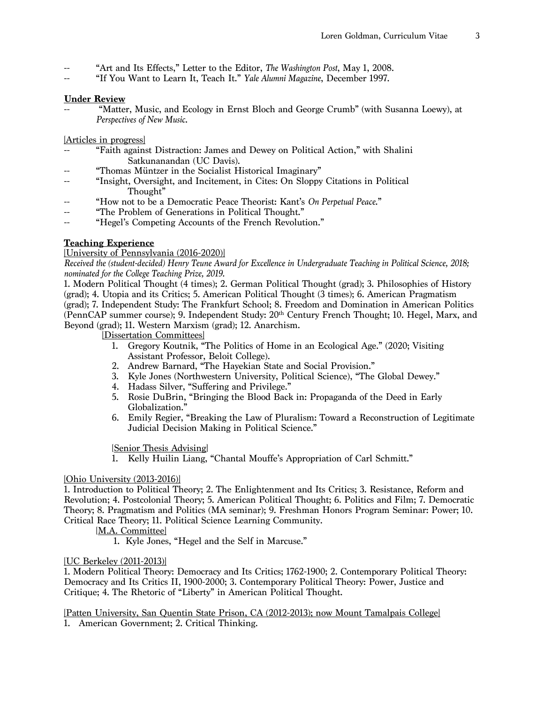- -- "Art and Its Effects," Letter to the Editor, *The Washington Post*, May 1, 2008.
- "If You Want to Learn It, Teach It." *Yale Alumni Magazine*, December 1997.

# **Under Review**

"Matter, Music, and Ecology in Ernst Bloch and George Crumb" (with Susanna Loewy), at *Perspectives of New Music*.

[Articles in progress]

- "Faith against Distraction: James and Dewey on Political Action," with Shalini Satkunanandan (UC Davis).
- "Thomas Müntzer in the Socialist Historical Imaginary"
- "Insight, Oversight, and Incitement, in Cites: On Sloppy Citations in Political Thought"
- "How not to be a Democratic Peace Theorist: Kant's On Perpetual Peace."
- -- "The Problem of Generations in Political Thought."
- -- "Hegel's Competing Accounts of the French Revolution."

# **Teaching Experience**

### [University of Pennsylvania (2016-2020)]

*Received the (student-decided) Henry Teune Award for Excellence in Undergraduate Teaching in Political Science, 2018; nominated for the College Teaching Prize, 2019.*

1. Modern Political Thought (4 times); 2. German Political Thought (grad); 3. Philosophies of History (grad); 4. Utopia and its Critics; 5. American Political Thought (3 times); 6. American Pragmatism (grad); 7. Independent Study: The Frankfurt School; 8. Freedom and Domination in American Politics (PennCAP summer course); 9. Independent Study: 20th Century French Thought; 10. Hegel, Marx, and Beyond (grad); 11. Western Marxism (grad); 12. Anarchism.

[Dissertation Committees]

- 1. Gregory Koutnik, "The Politics of Home in an Ecological Age." (2020; Visiting Assistant Professor, Beloit College).
- 2. Andrew Barnard, "The Hayekian State and Social Provision."
- 3. Kyle Jones (Northwestern University, Political Science), "The Global Dewey."
- 4. Hadass Silver, "Suffering and Privilege."
- 5. Rosie DuBrin, "Bringing the Blood Back in: Propaganda of the Deed in Early Globalization."
- 6. Emily Regier, "Breaking the Law of Pluralism: Toward a Reconstruction of Legitimate Judicial Decision Making in Political Science."

[Senior Thesis Advising]

1. Kelly Huilin Liang, "Chantal Mouffe's Appropriation of Carl Schmitt."

#### [Ohio University (2013-2016)]

1. Introduction to Political Theory; 2. The Enlightenment and Its Critics; 3. Resistance, Reform and Revolution; 4. Postcolonial Theory; 5. American Political Thought; 6. Politics and Film; 7. Democratic Theory; 8. Pragmatism and Politics (MA seminar); 9. Freshman Honors Program Seminar: Power; 10. Critical Race Theory; 11. Political Science Learning Community.

[M.A. Committee]

1. Kyle Jones, "Hegel and the Self in Marcuse."

#### [UC Berkeley (2011-2013)]

1. Modern Political Theory: Democracy and Its Critics; 1762-1900; 2. Contemporary Political Theory: Democracy and Its Critics II, 1900-2000; 3. Contemporary Political Theory: Power, Justice and Critique; 4. The Rhetoric of "Liberty" in American Political Thought.

[Patten University, San Quentin State Prison, CA (2012-2013); now Mount Tamalpais College] 1. American Government; 2. Critical Thinking.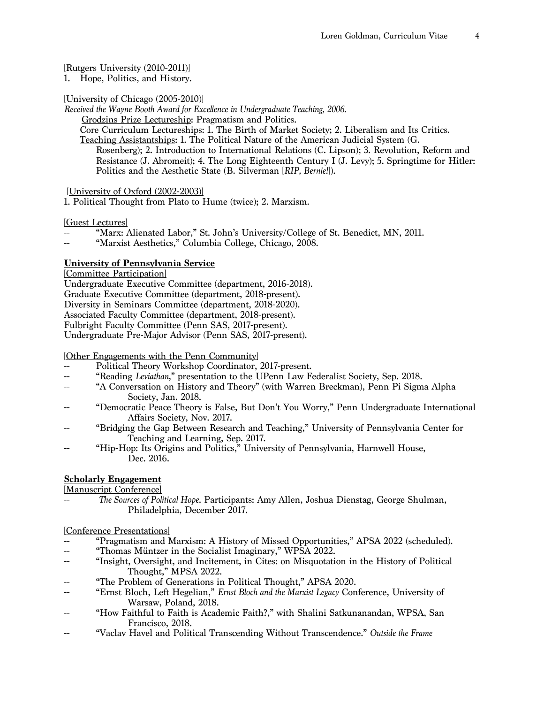# [Rutgers University (2010-2011)]<br>1. Hope, Politics, and History.

Hope, Politics, and History.

### [University of Chicago (2005-2010)]

*Received the Wayne Booth Award for Excellence in Undergraduate Teaching, 2006.*

Grodzins Prize Lectureship: Pragmatism and Politics.

Core Curriculum Lectureships: 1. The Birth of Market Society; 2. Liberalism and Its Critics.

Teaching Assistantships: 1. The Political Nature of the American Judicial System (G. Rosenberg); 2. Introduction to International Relations (C. Lipson); 3. Revolution, Reform and Resistance (J. Abromeit); 4. The Long Eighteenth Century I (J. Levy); 5. Springtime for Hitler: Politics and the Aesthetic State (B. Silverman [*RIP, Bernie!*]).

# [University of Oxford (2002-2003)]

1. Political Thought from Plato to Hume (twice); 2. Marxism.

[Guest Lectures]

- "Marx: Alienated Labor," St. John's University/College of St. Benedict, MN, 2011.
- "Marxist Aesthetics," Columbia College, Chicago, 2008.

# **University of Pennsylvania Service**

[Committee Participation]

Undergraduate Executive Committee (department, 2016-2018). Graduate Executive Committee (department, 2018-present). Diversity in Seminars Committee (department, 2018-2020). Associated Faculty Committee (department, 2018-present). Fulbright Faculty Committee (Penn SAS, 2017-present). Undergraduate Pre-Major Advisor (Penn SAS, 2017-present).

[Other Engagements with the Penn Community]

- Political Theory Workshop Coordinator, 2017-present.
- -- "Reading *Leviathan*," presentation to the UPenn Law Federalist Society, Sep. 2018.
- "A Conversation on History and Theory" (with Warren Breckman), Penn Pi Sigma Alpha Society, Jan. 2018.
- "Democratic Peace Theory is False, But Don't You Worry," Penn Undergraduate International Affairs Society, Nov. 2017.
- "Bridging the Gap Between Research and Teaching," University of Pennsylvania Center for Teaching and Learning, Sep. 2017.
- "Hip-Hop: Its Origins and Politics," University of Pennsylvania, Harnwell House, Dec. 2016.

# **Scholarly Engagement**

[Manuscript Conference]

-- *The Sources of Political Hope*. Participants: Amy Allen, Joshua Dienstag, George Shulman, Philadelphia, December 2017.

[Conference Presentations]

- -- "Pragmatism and Marxism: A History of Missed Opportunities," APSA 2022 (scheduled).<br>-- "Thomas Müntzer in the Socialist Imaginary" WPSA 2022
- "Thomas Müntzer in the Socialist Imaginary," WPSA 2022.
- -- "Insight, Oversight, and Incitement, in Cites: on Misquotation in the History of Political Thought," MPSA 2022.
- "The Problem of Generations in Political Thought," APSA 2020.
- "Ernst Bloch, Left Hegelian," *Ernst Bloch and the Marxist Legacy* Conference, University of Warsaw, Poland, 2018.
- "How Faithful to Faith is Academic Faith?," with Shalini Satkunanandan, WPSA, San Francisco, 2018.
- "Vaclav Havel and Political Transcending Without Transcendence." Outside the Frame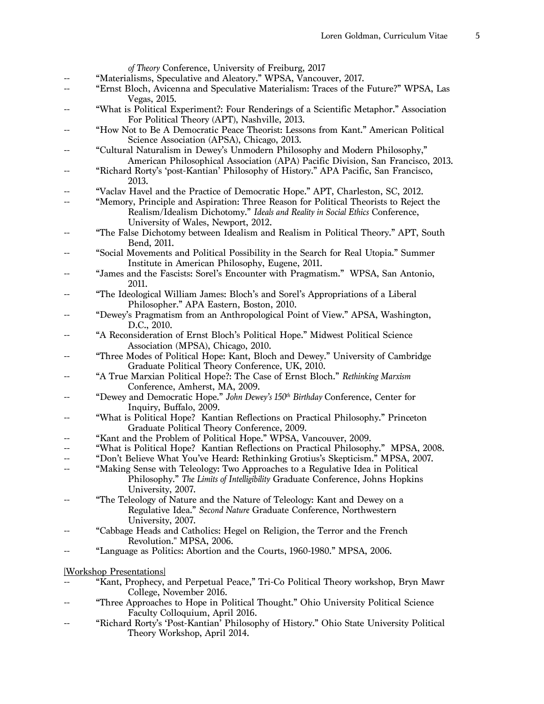|                          | of Theory Conference, University of Freiburg, 2017                                          |  |  |
|--------------------------|---------------------------------------------------------------------------------------------|--|--|
|                          | "Materialisms, Speculative and Aleatory." WPSA, Vancouver, 2017.                            |  |  |
|                          | "Ernst Bloch, Avicenna and Speculative Materialism: Traces of the Future?" WPSA, Las        |  |  |
|                          | Vegas, 2015.                                                                                |  |  |
|                          | "What is Political Experiment?: Four Renderings of a Scientific Metaphor." Association      |  |  |
|                          | For Political Theory (APT), Nashville, 2013.                                                |  |  |
|                          | "How Not to Be A Democratic Peace Theorist: Lessons from Kant." American Political          |  |  |
|                          | Science Association (APSA), Chicago, 2013.                                                  |  |  |
|                          | "Cultural Naturalism in Dewey's Unmodern Philosophy and Modern Philosophy,"                 |  |  |
|                          | American Philosophical Association (APA) Pacific Division, San Francisco, 2013.             |  |  |
|                          | "Richard Rorty's 'post-Kantian' Philosophy of History." APA Pacific, San Francisco,         |  |  |
|                          | 2013.                                                                                       |  |  |
|                          | "Vaclav Havel and the Practice of Democratic Hope." APT, Charleston, SC, 2012.              |  |  |
|                          | "Memory, Principle and Aspiration: Three Reason for Political Theorists to Reject the       |  |  |
|                          | Realism/Idealism Dichotomy." Ideals and Reality in Social Ethics Conference,                |  |  |
|                          | University of Wales, Newport, 2012.                                                         |  |  |
|                          | "The False Dichotomy between Idealism and Realism in Political Theory." APT, South          |  |  |
|                          | Bend, 2011.                                                                                 |  |  |
|                          |                                                                                             |  |  |
|                          | "Social Movements and Political Possibility in the Search for Real Utopia." Summer          |  |  |
|                          | Institute in American Philosophy, Eugene, 2011.                                             |  |  |
|                          | "James and the Fascists: Sorel's Encounter with Pragmatism." WPSA, San Antonio,             |  |  |
|                          | 2011.                                                                                       |  |  |
|                          | "The Ideological William James: Bloch's and Sorel's Appropriations of a Liberal             |  |  |
|                          | Philosopher." APA Eastern, Boston, 2010.                                                    |  |  |
|                          | "Dewey's Pragmatism from an Anthropological Point of View." APSA, Washington,               |  |  |
|                          | D.C., 2010.                                                                                 |  |  |
|                          | "A Reconsideration of Ernst Bloch's Political Hope." Midwest Political Science              |  |  |
|                          | Association (MPSA), Chicago, 2010.                                                          |  |  |
|                          | "Three Modes of Political Hope: Kant, Bloch and Dewey." University of Cambridge             |  |  |
|                          | Graduate Political Theory Conference, UK, 2010.                                             |  |  |
|                          | "A True Marxian Political Hope?: The Case of Ernst Bloch." Rethinking Marxism               |  |  |
|                          | Conference, Amherst, MA, 2009.                                                              |  |  |
|                          | "Dewey and Democratic Hope." John Dewey's 150 <sup>th</sup> Birthday Conference, Center for |  |  |
|                          | Inquiry, Buffalo, 2009.                                                                     |  |  |
|                          | "What is Political Hope? Kantian Reflections on Practical Philosophy." Princeton            |  |  |
|                          | Graduate Political Theory Conference, 2009.                                                 |  |  |
|                          | "Kant and the Problem of Political Hope." WPSA, Vancouver, 2009.                            |  |  |
|                          | "What is Political Hope? Kantian Reflections on Practical Philosophy." MPSA, 2008.          |  |  |
|                          | "Don't Believe What You've Heard: Rethinking Grotius's Skepticism." MPSA, 2007.             |  |  |
|                          | "Making Sense with Teleology: Two Approaches to a Regulative Idea in Political              |  |  |
|                          |                                                                                             |  |  |
|                          | Philosophy." The Limits of Intelligibility Graduate Conference, Johns Hopkins               |  |  |
|                          | University, 2007.                                                                           |  |  |
|                          | "The Teleology of Nature and the Nature of Teleology: Kant and Dewey on a                   |  |  |
|                          | Regulative Idea." Second Nature Graduate Conference, Northwestern                           |  |  |
|                          | University, 2007.                                                                           |  |  |
|                          | "Cabbage Heads and Catholics: Hegel on Religion, the Terror and the French                  |  |  |
|                          | Revolution." MPSA, 2006.                                                                    |  |  |
|                          | "Language as Politics: Abortion and the Courts, 1960-1980." MPSA, 2006.                     |  |  |
|                          |                                                                                             |  |  |
| [Workshop Presentations] |                                                                                             |  |  |
|                          | "Kant, Prophecy, and Perpetual Peace," Tri-Co Political Theory workshop, Bryn Mawr          |  |  |
|                          | College, November 2016.                                                                     |  |  |
|                          | "Three Approaches to Heno in Political Thought," Obje University Political Science          |  |  |

- Three Approaches to Hope in Political Thought." Ohio University Political Science Faculty Colloquium, April 2016.
- -- "Richard Rorty's 'Post-Kantian' Philosophy of History." Ohio State University Political Theory Workshop, April 2014.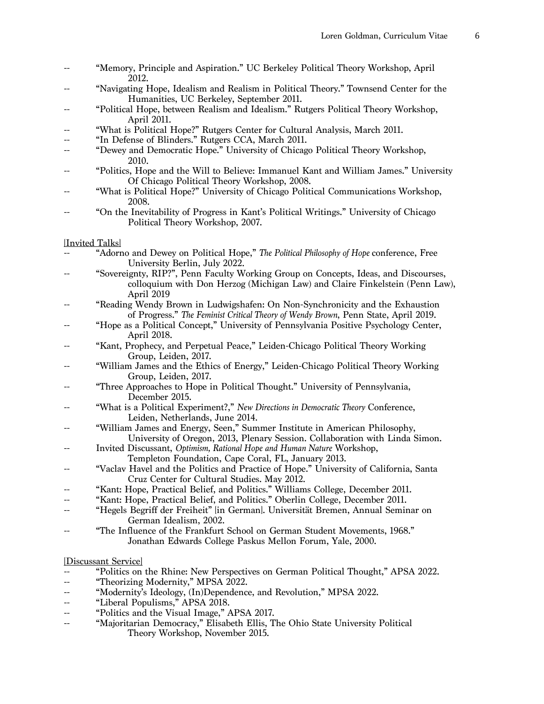- "Memory, Principle and Aspiration." UC Berkeley Political Theory Workshop, April 2012.
- "Navigating Hope, Idealism and Realism in Political Theory." Townsend Center for the Humanities, UC Berkeley, September 2011.
- "Political Hope, between Realism and Idealism." Rutgers Political Theory Workshop, April 2011.
- "What is Political Hope?" Rutgers Center for Cultural Analysis, March 2011.
- "In Defense of Blinders." Rutgers CCA, March 2011.
- "Dewey and Democratic Hope." University of Chicago Political Theory Workshop, 2010.
- "Politics, Hope and the Will to Believe: Immanuel Kant and William James." University Of Chicago Political Theory Workshop, 2008.
- "What is Political Hope?" University of Chicago Political Communications Workshop, 2008.
- "On the Inevitability of Progress in Kant's Political Writings." University of Chicago Political Theory Workshop, 2007.

#### [Invited Talks]

- "Adorno and Dewey on Political Hope," *The Political Philosophy of Hope* conference, Free University Berlin, July 2022.
- "Sovereignty, RIP?", Penn Faculty Working Group on Concepts, Ideas, and Discourses, colloquium with Don Herzog (Michigan Law) and Claire Finkelstein (Penn Law), April 2019
- "Reading Wendy Brown in Ludwigshafen: On Non-Synchronicity and the Exhaustion of Progress." *The Feminist Critical Theory of Wendy Brown*, Penn State, April 2019.
- "Hope as a Political Concept," University of Pennsylvania Positive Psychology Center, April 2018.
- "Kant, Prophecy, and Perpetual Peace," Leiden-Chicago Political Theory Working Group, Leiden, 2017.
- "William James and the Ethics of Energy," Leiden-Chicago Political Theory Working Group, Leiden, 2017.
- "Three Approaches to Hope in Political Thought." University of Pennsylvania, December 2015.
- "What is a Political Experiment?," *New Directions in Democratic Theory* Conference, Leiden, Netherlands, June 2014.
- "William James and Energy, Seen," Summer Institute in American Philosophy, University of Oregon, 2013, Plenary Session. Collaboration with Linda Simon.
- Invited Discussant, *Optimism, Rational Hope and Human Nature* Workshop, Templeton Foundation, Cape Coral, FL, January 2013.
- "Vaclav Havel and the Politics and Practice of Hope." University of California, Santa Cruz Center for Cultural Studies. May 2012.
- "Kant: Hope, Practical Belief, and Politics." Williams College, December 2011.
- "Kant: Hope, Practical Belief, and Politics." Oberlin College, December 2011.
- -- "Hegels Begriff der Freiheit" [in German]. Universität Bremen, Annual Seminar on German Idealism, 2002.
- -- "The Influence of the Frankfurt School on German Student Movements, 1968." Jonathan Edwards College Paskus Mellon Forum, Yale, 2000.

#### [Discussant Service]

- "Politics on the Rhine: New Perspectives on German Political Thought," APSA 2022.
- -- "Theorizing Modernity," MPSA 2022.
- -- "Modernity's Ideology, (In)Dependence, and Revolution," MPSA 2022.
- -- "Liberal Populisms," APSA 2018.
- -- "Politics and the Visual Image," APSA 2017.
- "Majoritarian Democracy," Elisabeth Ellis, The Ohio State University Political Theory Workshop, November 2015.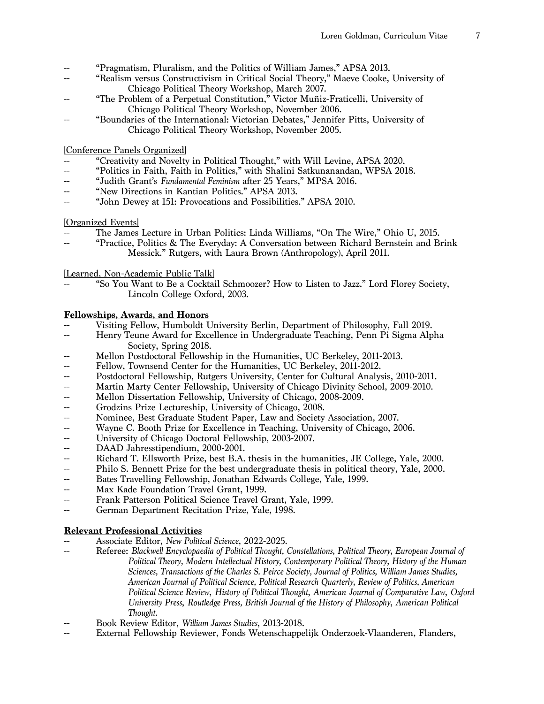- "Pragmatism, Pluralism, and the Politics of William James," APSA 2013.
- -- "Realism versus Constructivism in Critical Social Theory," Maeve Cooke, University of Chicago Political Theory Workshop, March 2007.
- "The Problem of a Perpetual Constitution," Victor Muñiz-Fraticelli, University of Chicago Political Theory Workshop, November 2006.
- "Boundaries of the International: Victorian Debates," Jennifer Pitts, University of Chicago Political Theory Workshop, November 2005.

# [Conference Panels Organized]

- "Creativity and Novelty in Political Thought," with Will Levine, APSA 2020.
- -- "Politics in Faith, Faith in Politics," with Shalini Satkunanandan, WPSA 2018.<br>-- "Judith Grant's *Fundamental Feminism* after 25 Years." MPSA 2016.
- "Judith Grant's Fundamental Feminism after 25 Years," MPSA 2016.
- -- "New Directions in Kantian Politics." APSA 2013.
- "John Dewey at 151: Provocations and Possibilities." APSA 2010.

# [Organized Events]

- The James Lecture in Urban Politics: Linda Williams, "On The Wire," Ohio U, 2015.
- "Practice, Politics & The Everyday: A Conversation between Richard Bernstein and Brink Messick." Rutgers, with Laura Brown (Anthropology), April 2011.

# [Learned, Non-Academic Public Talk]

"So You Want to Be a Cocktail Schmoozer? How to Listen to Jazz." Lord Florey Society, Lincoln College Oxford, 2003.

# **Fellowships, Awards, and Honors**

- -- Visiting Fellow, Humboldt University Berlin, Department of Philosophy, Fall 2019.
- -- Henry Teune Award for Excellence in Undergraduate Teaching, Penn Pi Sigma Alpha Society, Spring 2018.
- Mellon Postdoctoral Fellowship in the Humanities, UC Berkeley, 2011-2013.
- -- Fellow, Townsend Center for the Humanities, UC Berkeley, 2011-2012.
- -- Postdoctoral Fellowship, Rutgers University, Center for Cultural Analysis, 2010-2011.
- -- Martin Marty Center Fellowship, University of Chicago Divinity School, 2009-2010.
- -- Mellon Dissertation Fellowship, University of Chicago, 2008-2009.
- -- Grodzins Prize Lectureship, University of Chicago, 2008.
- -- Nominee, Best Graduate Student Paper, Law and Society Association, 2007.
- -- Wayne C. Booth Prize for Excellence in Teaching, University of Chicago, 2006.
- -- University of Chicago Doctoral Fellowship, 2003-2007.
- -- DAAD Jahresstipendium, 2000-2001.
- Richard T. Ellsworth Prize, best B.A. thesis in the humanities, JE College, Yale, 2000.
- -- Philo S. Bennett Prize for the best undergraduate thesis in political theory, Yale, 2000.
- -- Bates Travelling Fellowship, Jonathan Edwards College, Yale, 1999.
- -- Max Kade Foundation Travel Grant, 1999.
- -- Frank Patterson Political Science Travel Grant, Yale, 1999.
- -- German Department Recitation Prize, Yale, 1998.

# **Relevant Professional Activities**

- -- Associate Editor, *New Political Science*, 2022-2025.
- -- Referee: *Blackwell Encyclopaedia of Political Thought, Constellations, Political Theory, European Journal of Political Theory, Modern Intellectual History, Contemporary Political Theory, History of the Human Sciences, Transactions of the Charles S. Peirce Society, Journal of Politics, William James Studies, American Journal of Political Science, Political Research Quarterly, Review of Politics, American Political Science Review*, *History of Political Thought*, *American Journal of Comparative Law*, *Oxford University Press*, *Routledge Press, British Journal of the History of Philosophy*, *American Political Thought.*
- -- Book Review Editor, *William James Studies*, 2013-2018.
- -- External Fellowship Reviewer, Fonds Wetenschappelijk Onderzoek-Vlaanderen, Flanders,